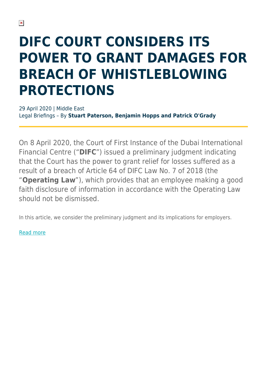## **DIFC COURT CONSIDERS ITS POWER TO GRANT DAMAGES FOR BREACH OF WHISTLEBLOWING PROTECTIONS**

29 April 2020 | Middle East Legal Briefings – By **Stuart Paterson, Benjamin Hopps and Patrick O'Grady**

On 8 April 2020, the Court of First Instance of the Dubai International Financial Centre ("**DIFC**") issued a preliminary judgment indicating that the Court has the power to grant relief for losses suffered as a result of a breach of Article 64 of DIFC Law No. 7 of 2018 (the "**Operating Law**"), which provides that an employee making a good faith disclosure of information in accordance with the Operating Law should not be dismissed.

In this article, we consider the preliminary judgment and its implications for employers.

[Read more](https://sites-herbertsmithfreehills.vuturevx.com/196/22402/landing-pages/difc-court-considers-its-power-to-grant-damages-for-breach-of-whistleblowing-protections---apr2020.pdf)